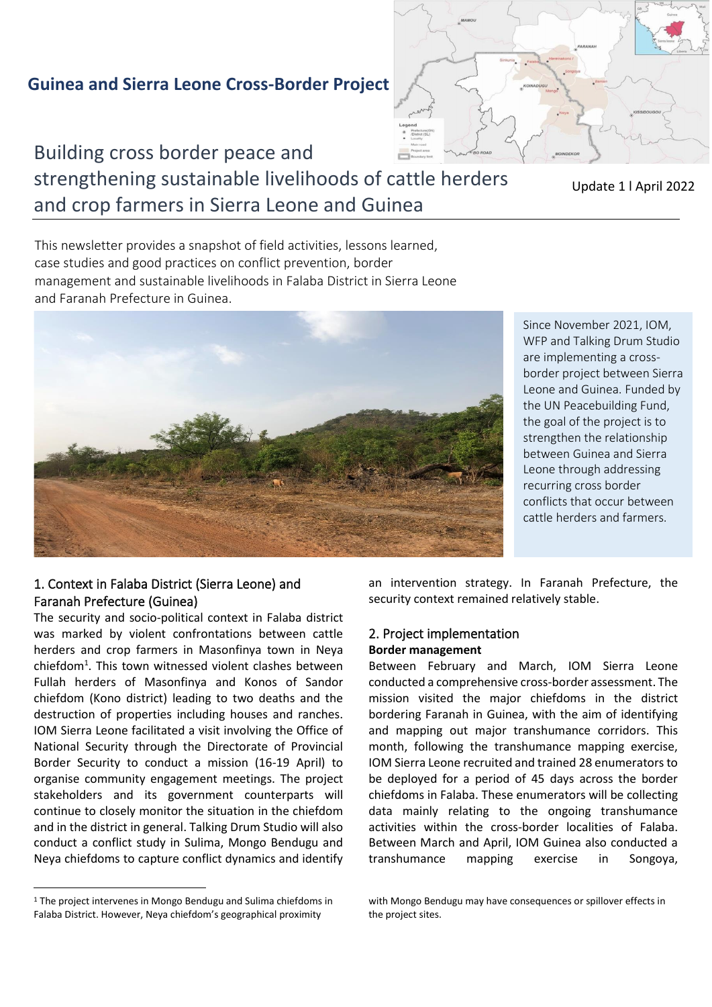# **Guinea and Sierra Leone Cross-Border Project**



strengthening sustainable livelihoods of cattle herders and crop farmers in Sierra Leone and Guinea

Update 1 l April 2022

This newsletter provides a snapshot of field activities, lessons learned, case studies and good practices on conflict prevention, border management and sustainable livelihoods in Falaba District in Sierra Leone and Faranah Prefecture in Guinea.



Since November 2021, IOM, WFP and Talking Drum Studio are implementing a crossborder project between Sierra Leone and Guinea. Funded by the UN Peacebuilding Fund, the goal of the project is to strengthen the relationship between Guinea and Sierra Leone through addressing recurring cross border conflicts that occur between cattle herders and farmers.

## 1. Context in Falaba District (Sierra Leone) and Faranah Prefecture (Guinea)

The security and socio-political context in Falaba district was marked by violent confrontations between cattle herders and crop farmers in Masonfinya town in Neya chiefdom<sup>1</sup>. This town witnessed violent clashes between Fullah herders of Masonfinya and Konos of Sandor chiefdom (Kono district) leading to two deaths and the destruction of properties including houses and ranches. IOM Sierra Leone facilitated a visit involving the Office of National Security through the Directorate of Provincial Border Security to conduct a mission (16-19 April) to organise community engagement meetings. The project stakeholders and its government counterparts will continue to closely monitor the situation in the chiefdom and in the district in general. Talking Drum Studio will also conduct a conflict study in Sulima, Mongo Bendugu and Neya chiefdoms to capture conflict dynamics and identify an intervention strategy. In Faranah Prefecture, the security context remained relatively stable.

## 2. Project implementation **Border management**

Between February and March, IOM Sierra Leone conducted a comprehensive cross-border assessment. The mission visited the major chiefdoms in the district bordering Faranah in Guinea, with the aim of identifying and mapping out major transhumance corridors. This month, following the transhumance mapping exercise, IOM Sierra Leone recruited and trained 28 enumerators to be deployed for a period of 45 days across the border chiefdoms in Falaba. These enumerators will be collecting data mainly relating to the ongoing transhumance activities within the cross-border localities of Falaba. Between March and April, IOM Guinea also conducted a transhumance mapping exercise in Songoya,

<sup>1</sup> The project intervenes in Mongo Bendugu and Sulima chiefdoms in Falaba District. However, Neya chiefdom's geographical proximity

with Mongo Bendugu may have consequences or spillover effects in the project sites.